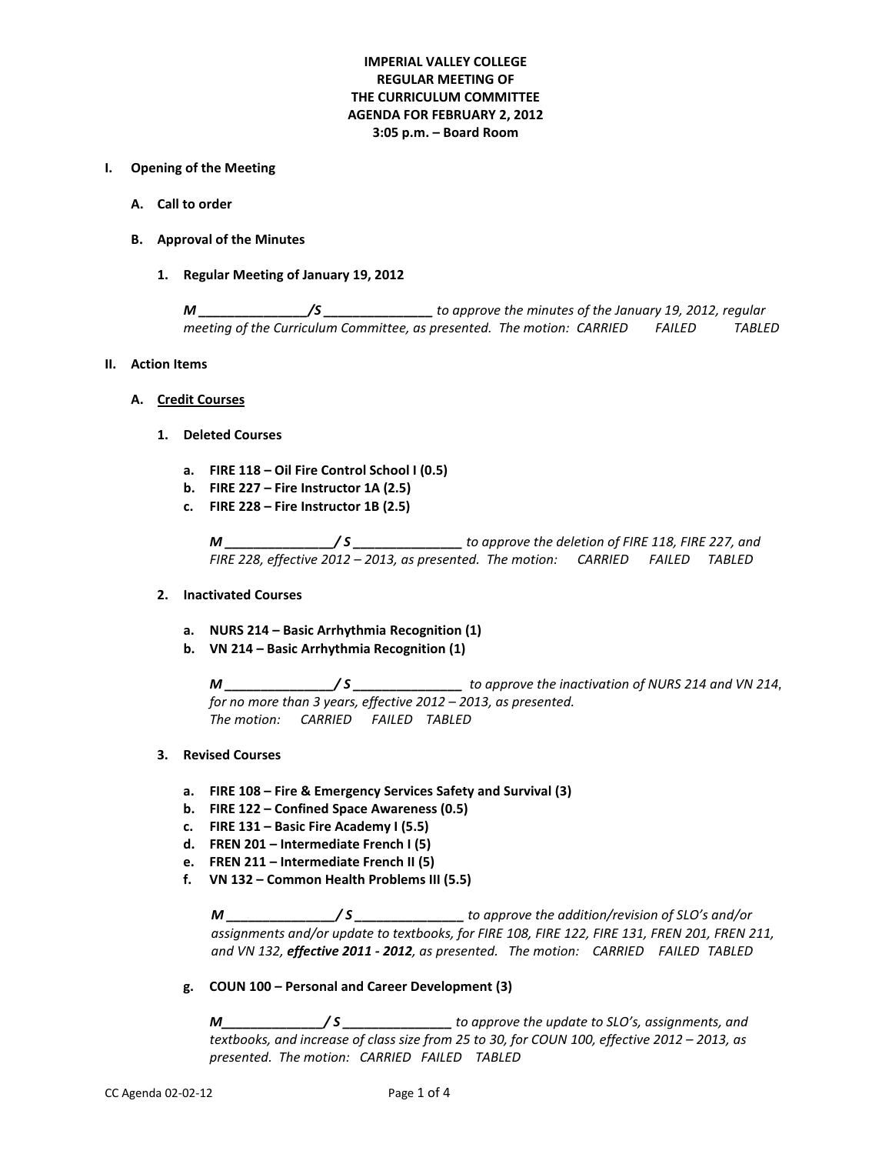# **IMPERIAL VALLEY COLLEGE REGULAR MEETING OF THE CURRICULUM COMMITTEE AGENDA FOR FEBRUARY 2, 2012 3:05 p.m. – Board Room**

#### **I. Opening of the Meeting**

- **A. Call to order**
- **B. Approval of the Minutes**
	- **1. Regular Meeting of January 19, 2012**

*M \_\_\_\_\_\_\_\_\_\_\_\_\_\_\_/S \_\_\_\_\_\_\_\_\_\_\_\_\_\_\_ to approve the minutes of the January 19, 2012, regular meeting of the Curriculum Committee, as presented. The motion: CARRIED FAILED TABLED*

#### **II. Action Items**

- **A. Credit Courses**
	- **1. Deleted Courses**
		- **a. FIRE 118 – Oil Fire Control School I (0.5)**
		- **b. FIRE 227 – Fire Instructor 1A (2.5)**
		- **c. FIRE 228 – Fire Instructor 1B (2.5)**

*M \_\_\_\_\_\_\_\_\_\_\_\_\_\_\_/ S \_\_\_\_\_\_\_\_\_\_\_\_\_\_\_ to approve the deletion of FIRE 118, FIRE 227, and FIRE 228, effective 2012 – 2013, as presented. The motion: CARRIED FAILED TABLED*

#### **2. Inactivated Courses**

- **a. NURS 214 – Basic Arrhythmia Recognition (1)**
- **b. VN 214 – Basic Arrhythmia Recognition (1)**

*M \_\_\_\_\_\_\_\_\_\_\_\_\_\_\_/ S \_\_\_\_\_\_\_\_\_\_\_\_\_\_\_ to approve the inactivation of NURS 214 and VN 214, for no more than 3 years, effective 2012 – 2013, as presented. The motion: CARRIED FAILED TABLED*

## **3. Revised Courses**

- **a. FIRE 108 – Fire & Emergency Services Safety and Survival (3)**
- **b. FIRE 122 – Confined Space Awareness (0.5)**
- **c. FIRE 131 – Basic Fire Academy I (5.5)**
- **d. FREN 201 – Intermediate French I (5)**
- **e. FREN 211 – Intermediate French II (5)**
- **f. VN 132 – Common Health Problems III (5.5)**

*M \_\_\_\_\_\_\_\_\_\_\_\_\_\_\_/ S \_\_\_\_\_\_\_\_\_\_\_\_\_\_\_ to approve the addition/revision of SLO's and/or assignments and/or update to textbooks, for FIRE 108, FIRE 122, FIRE 131, FREN 201, FREN 211, and VN 132, effective 2011 - 2012, as presented. The motion: CARRIED FAILED TABLED*

**g. COUN 100 – Personal and Career Development (3)**

*M\_\_\_\_\_\_\_\_\_\_\_\_\_\_/ S \_\_\_\_\_\_\_\_\_\_\_\_\_\_\_ to approve the update to SLO's, assignments, and textbooks, and increase of class size from 25 to 30, for COUN 100, effective 2012 – 2013, as presented. The motion: CARRIED FAILED TABLED*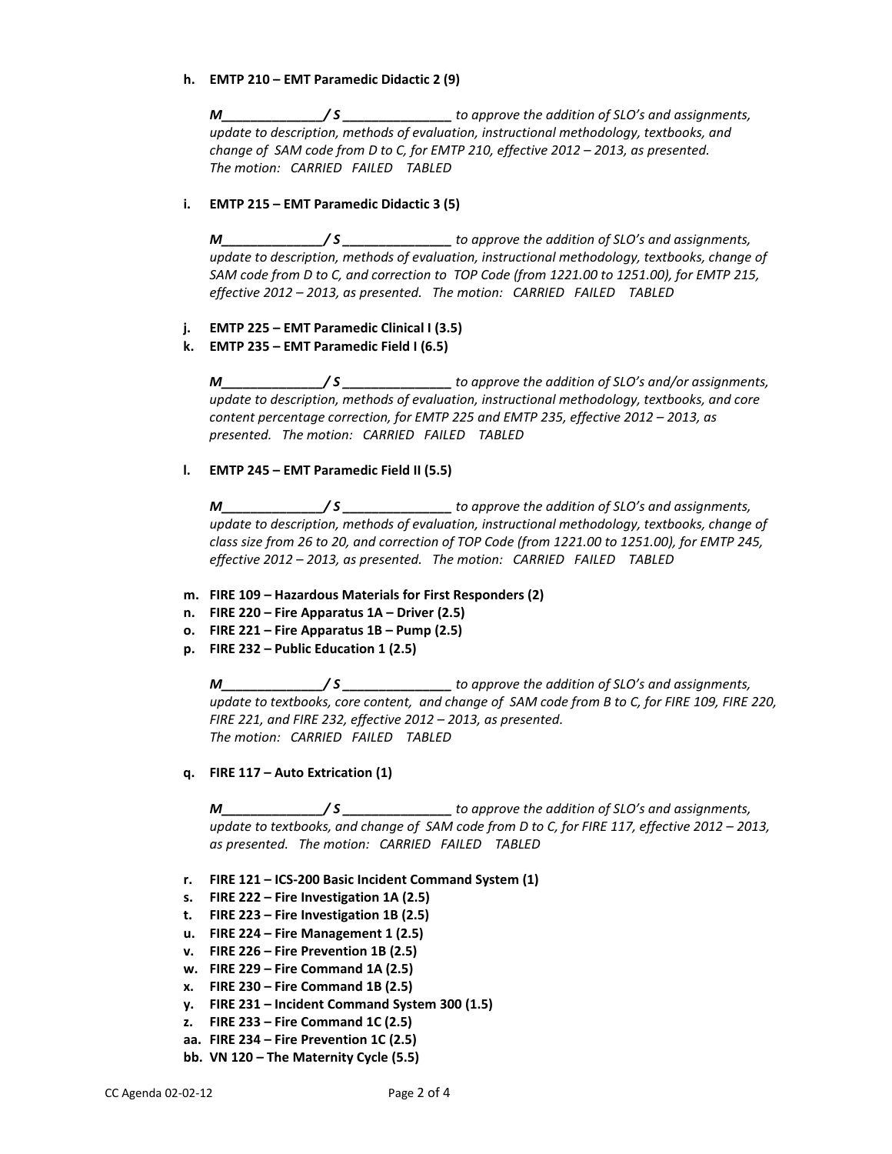## **h. EMTP 210 – EMT Paramedic Didactic 2 (9)**

*M\_\_\_\_\_\_\_\_\_\_\_\_\_\_/ S \_\_\_\_\_\_\_\_\_\_\_\_\_\_\_ to approve the addition of SLO's and assignments, update to description, methods of evaluation, instructional methodology, textbooks, and change of SAM code from D to C, for EMTP 210, effective 2012 – 2013, as presented. The motion: CARRIED FAILED TABLED*

## **i. EMTP 215 – EMT Paramedic Didactic 3 (5)**

*M\_\_\_\_\_\_\_\_\_\_\_\_\_\_/ S \_\_\_\_\_\_\_\_\_\_\_\_\_\_\_ to approve the addition of SLO's and assignments, update to description, methods of evaluation, instructional methodology, textbooks, change of SAM code from D to C, and correction to TOP Code (from 1221.00 to 1251.00), for EMTP 215, effective 2012 – 2013, as presented. The motion: CARRIED FAILED TABLED*

# **j. EMTP 225 – EMT Paramedic Clinical I (3.5)**

## **k. EMTP 235 – EMT Paramedic Field I (6.5)**

*M\_\_\_\_\_\_\_\_\_\_\_\_\_\_/ S \_\_\_\_\_\_\_\_\_\_\_\_\_\_\_ to approve the addition of SLO's and/or assignments, update to description, methods of evaluation, instructional methodology, textbooks, and core content percentage correction, for EMTP 225 and EMTP 235, effective 2012 – 2013, as presented. The motion: CARRIED FAILED TABLED*

## **l. EMTP 245 – EMT Paramedic Field II (5.5)**

*M\_\_\_\_\_\_\_\_\_\_\_\_\_\_/ S \_\_\_\_\_\_\_\_\_\_\_\_\_\_\_ to approve the addition of SLO's and assignments, update to description, methods of evaluation, instructional methodology, textbooks, change of class size from 26 to 20, and correction of TOP Code (from 1221.00 to 1251.00), for EMTP 245, effective 2012 – 2013, as presented. The motion: CARRIED FAILED TABLED*

## **m. FIRE 109 – Hazardous Materials for First Responders (2)**

- **n. FIRE 220 – Fire Apparatus 1A – Driver (2.5)**
- **o. FIRE 221 – Fire Apparatus 1B – Pump (2.5)**
- **p. FIRE 232 – Public Education 1 (2.5)**

*M\_\_\_\_\_\_\_\_\_\_\_\_\_\_/ S \_\_\_\_\_\_\_\_\_\_\_\_\_\_\_ to approve the addition of SLO's and assignments, update to textbooks, core content, and change of SAM code from B to C, for FIRE 109, FIRE 220, FIRE 221, and FIRE 232, effective 2012 – 2013, as presented. The motion: CARRIED FAILED TABLED*

**q. FIRE 117 – Auto Extrication (1)**

*M\_\_\_\_\_\_\_\_\_\_\_\_\_\_/ S \_\_\_\_\_\_\_\_\_\_\_\_\_\_\_ to approve the addition of SLO's and assignments, update to textbooks, and change of SAM code from D to C, for FIRE 117, effective 2012 – 2013, as presented. The motion: CARRIED FAILED TABLED*

- **r. FIRE 121 – ICS-200 Basic Incident Command System (1)**
- **s. FIRE 222 – Fire Investigation 1A (2.5)**
- **t. FIRE 223 – Fire Investigation 1B (2.5)**
- **u. FIRE 224 – Fire Management 1 (2.5)**
- **v. FIRE 226 – Fire Prevention 1B (2.5)**
- **w. FIRE 229 – Fire Command 1A (2.5)**
- **x. FIRE 230 – Fire Command 1B (2.5)**
- **y. FIRE 231 – Incident Command System 300 (1.5)**
- **z. FIRE 233 – Fire Command 1C (2.5)**
- **aa. FIRE 234 – Fire Prevention 1C (2.5)**
- **bb. VN 120 – The Maternity Cycle (5.5)**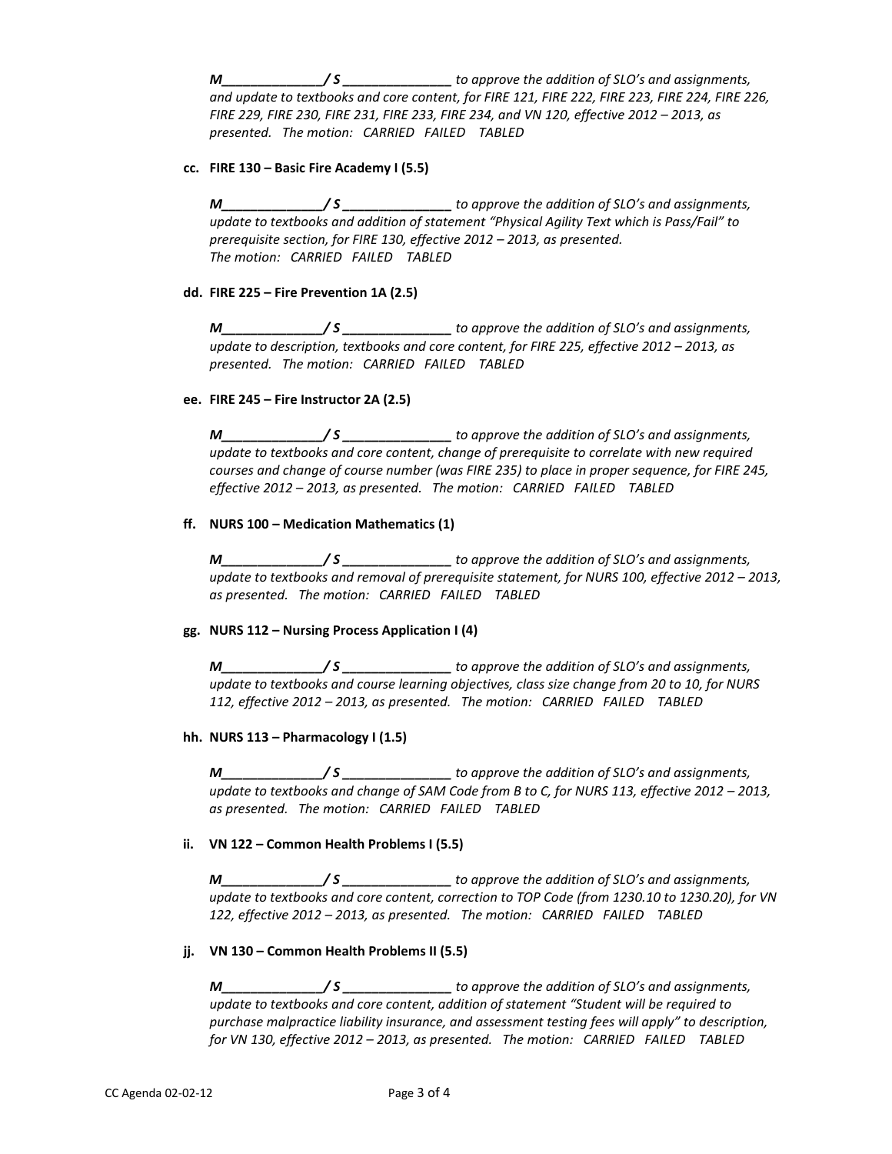*M\_\_\_\_\_\_\_\_\_\_\_\_\_\_/ S \_\_\_\_\_\_\_\_\_\_\_\_\_\_\_ to approve the addition of SLO's and assignments, and update to textbooks and core content, for FIRE 121, FIRE 222, FIRE 223, FIRE 224, FIRE 226, FIRE 229, FIRE 230, FIRE 231, FIRE 233, FIRE 234, and VN 120, effective 2012 – 2013, as presented. The motion: CARRIED FAILED TABLED*

## **cc. FIRE 130 – Basic Fire Academy I (5.5)**

*M\_\_\_\_\_\_\_\_\_\_\_\_\_\_/ S \_\_\_\_\_\_\_\_\_\_\_\_\_\_\_ to approve the addition of SLO's and assignments, update to textbooks and addition of statement "Physical Agility Text which is Pass/Fail" to prerequisite section, for FIRE 130, effective 2012 – 2013, as presented. The motion: CARRIED FAILED TABLED*

## **dd. FIRE 225 – Fire Prevention 1A (2.5)**

*M\_\_\_\_\_\_\_\_\_\_\_\_\_\_/ S \_\_\_\_\_\_\_\_\_\_\_\_\_\_\_ to approve the addition of SLO's and assignments, update to description, textbooks and core content, for FIRE 225, effective 2012 – 2013, as presented. The motion: CARRIED FAILED TABLED*

## **ee. FIRE 245 – Fire Instructor 2A (2.5)**

*M\_\_\_\_\_\_\_\_\_\_\_\_\_\_/ S \_\_\_\_\_\_\_\_\_\_\_\_\_\_\_ to approve the addition of SLO's and assignments, update to textbooks and core content, change of prerequisite to correlate with new required courses and change of course number (was FIRE 235) to place in proper sequence, for FIRE 245, effective 2012 – 2013, as presented. The motion: CARRIED FAILED TABLED*

## **ff. NURS 100 – Medication Mathematics (1)**

*M\_\_\_\_\_\_\_\_\_\_\_\_\_\_/ S \_\_\_\_\_\_\_\_\_\_\_\_\_\_\_ to approve the addition of SLO's and assignments, update to textbooks and removal of prerequisite statement, for NURS 100, effective 2012 – 2013, as presented. The motion: CARRIED FAILED TABLED*

## **gg. NURS 112 – Nursing Process Application I (4)**

*M\_\_\_\_\_\_\_\_\_\_\_\_\_\_/ S \_\_\_\_\_\_\_\_\_\_\_\_\_\_\_ to approve the addition of SLO's and assignments, update to textbooks and course learning objectives, class size change from 20 to 10, for NURS 112, effective 2012 – 2013, as presented. The motion: CARRIED FAILED TABLED*

## **hh. NURS 113 – Pharmacology I (1.5)**

*M\_\_\_\_\_\_\_\_\_\_\_\_\_\_/ S \_\_\_\_\_\_\_\_\_\_\_\_\_\_\_ to approve the addition of SLO's and assignments, update to textbooks and change of SAM Code from B to C, for NURS 113, effective 2012 – 2013, as presented. The motion: CARRIED FAILED TABLED*

## **ii. VN 122 – Common Health Problems I (5.5)**

*M\_\_\_\_\_\_\_\_\_\_\_\_\_\_/ S \_\_\_\_\_\_\_\_\_\_\_\_\_\_\_ to approve the addition of SLO's and assignments, update to textbooks and core content, correction to TOP Code (from 1230.10 to 1230.20), for VN 122, effective 2012 – 2013, as presented. The motion: CARRIED FAILED TABLED*

## **jj. VN 130 – Common Health Problems II (5.5)**

*M\_\_\_\_\_\_\_\_\_\_\_\_\_\_/ S \_\_\_\_\_\_\_\_\_\_\_\_\_\_\_ to approve the addition of SLO's and assignments, update to textbooks and core content, addition of statement "Student will be required to purchase malpractice liability insurance, and assessment testing fees will apply" to description, for VN 130, effective 2012 – 2013, as presented. The motion: CARRIED FAILED TABLED*